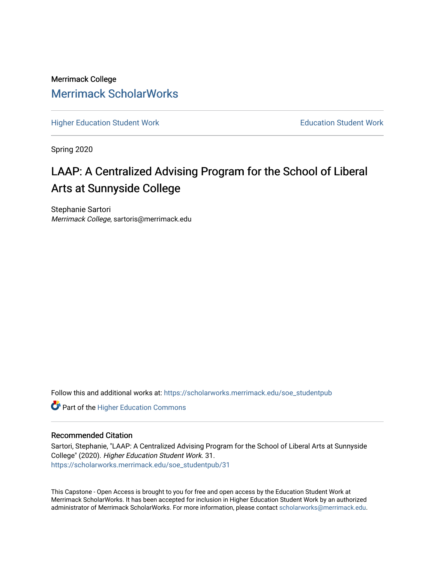## Merrimack College [Merrimack ScholarWorks](https://scholarworks.merrimack.edu/)

[Higher Education Student Work](https://scholarworks.merrimack.edu/soe_studentpub) **Education Student Work** Education Student Work

Spring 2020

# LAAP: A Centralized Advising Program for the School of Liberal Arts at Sunnyside College

Stephanie Sartori Merrimack College, sartoris@merrimack.edu

Follow this and additional works at: [https://scholarworks.merrimack.edu/soe\\_studentpub](https://scholarworks.merrimack.edu/soe_studentpub?utm_source=scholarworks.merrimack.edu%2Fsoe_studentpub%2F31&utm_medium=PDF&utm_campaign=PDFCoverPages) 

**Part of the Higher Education Commons** 

#### Recommended Citation

Sartori, Stephanie, "LAAP: A Centralized Advising Program for the School of Liberal Arts at Sunnyside College" (2020). Higher Education Student Work. 31. [https://scholarworks.merrimack.edu/soe\\_studentpub/31](https://scholarworks.merrimack.edu/soe_studentpub/31?utm_source=scholarworks.merrimack.edu%2Fsoe_studentpub%2F31&utm_medium=PDF&utm_campaign=PDFCoverPages) 

This Capstone - Open Access is brought to you for free and open access by the Education Student Work at Merrimack ScholarWorks. It has been accepted for inclusion in Higher Education Student Work by an authorized administrator of Merrimack ScholarWorks. For more information, please contact [scholarworks@merrimack.edu](mailto:scholarworks@merrimack.edu).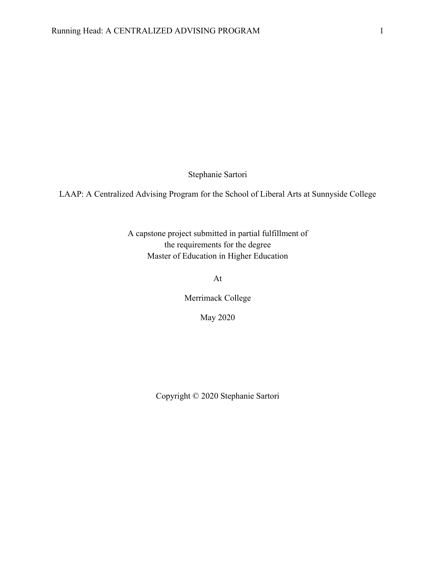Stephanie Sartori

LAAP: A Centralized Advising Program for the School of Liberal Arts at Sunnyside College

A capstone project submitted in partial fulfillment of the requirements for the degree Master of Education in Higher Education

At

Merrimack College

May 2020

Copyright © 2020 Stephanie Sartori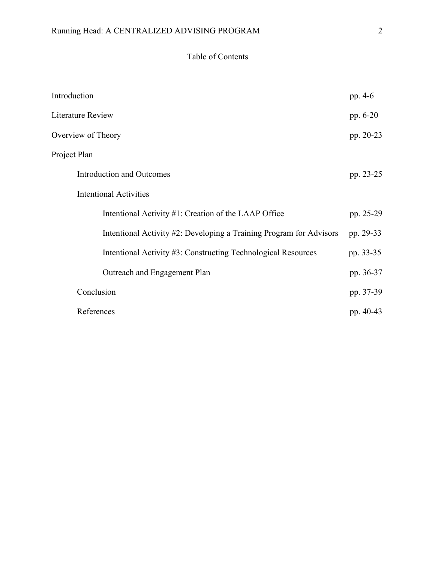## Table of Contents

| Introduction                                                        | pp. 4-6   |
|---------------------------------------------------------------------|-----------|
| Literature Review                                                   | pp. 6-20  |
| Overview of Theory                                                  | pp. 20-23 |
| Project Plan                                                        |           |
| Introduction and Outcomes                                           | pp. 23-25 |
| <b>Intentional Activities</b>                                       |           |
| Intentional Activity #1: Creation of the LAAP Office                | pp. 25-29 |
| Intentional Activity #2: Developing a Training Program for Advisors | pp. 29-33 |
| Intentional Activity #3: Constructing Technological Resources       | pp. 33-35 |
| Outreach and Engagement Plan                                        | pp. 36-37 |
| Conclusion                                                          | pp. 37-39 |
| References                                                          | pp. 40-43 |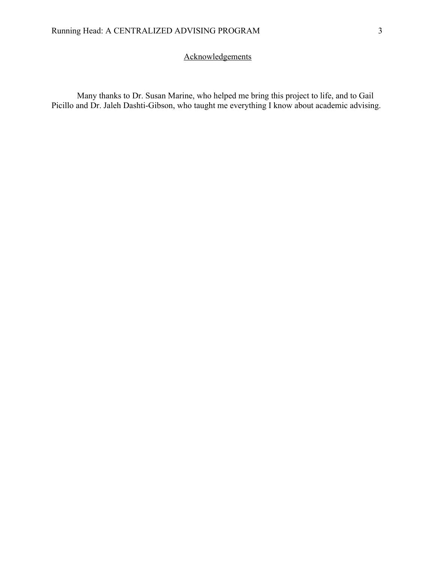### **Acknowledgements**

Many thanks to Dr. Susan Marine, who helped me bring this project to life, and to Gail Picillo and Dr. Jaleh Dashti-Gibson, who taught me everything I know about academic advising.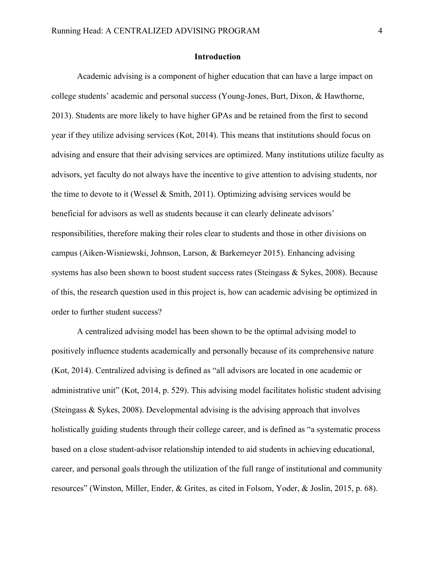#### **Introduction**

Academic advising is a component of higher education that can have a large impact on college students' academic and personal success (Young-Jones, Burt, Dixon, & Hawthorne, 2013). Students are more likely to have higher GPAs and be retained from the first to second year if they utilize advising services (Kot, 2014). This means that institutions should focus on advising and ensure that their advising services are optimized. Many institutions utilize faculty as advisors, yet faculty do not always have the incentive to give attention to advising students, nor the time to devote to it (Wessel & Smith, 2011). Optimizing advising services would be beneficial for advisors as well as students because it can clearly delineate advisors' responsibilities, therefore making their roles clear to students and those in other divisions on campus (Aiken-Wisniewski, Johnson, Larson, & Barkemeyer 2015). Enhancing advising systems has also been shown to boost student success rates (Steingass & Sykes, 2008). Because of this, the research question used in this project is, how can academic advising be optimized in order to further student success?

A centralized advising model has been shown to be the optimal advising model to positively influence students academically and personally because of its comprehensive nature (Kot, 2014). Centralized advising is defined as "all advisors are located in one academic or administrative unit" (Kot, 2014, p. 529). This advising model facilitates holistic student advising (Steingass & Sykes, 2008). Developmental advising is the advising approach that involves holistically guiding students through their college career, and is defined as "a systematic process based on a close student-advisor relationship intended to aid students in achieving educational, career, and personal goals through the utilization of the full range of institutional and community resources" (Winston, Miller, Ender, & Grites, as cited in Folsom, Yoder, & Joslin, 2015, p. 68).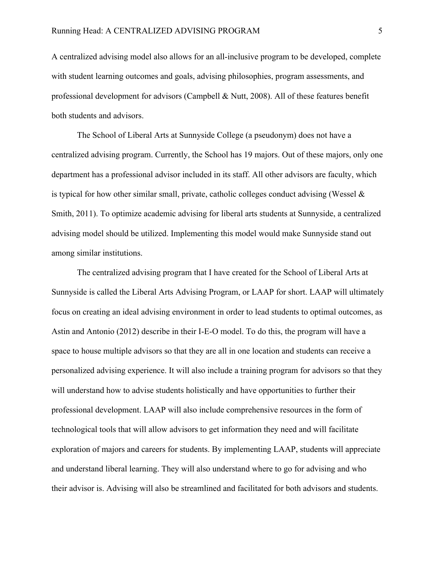A centralized advising model also allows for an all-inclusive program to be developed, complete with student learning outcomes and goals, advising philosophies, program assessments, and professional development for advisors (Campbell & Nutt, 2008). All of these features benefit both students and advisors.

The School of Liberal Arts at Sunnyside College (a pseudonym) does not have a centralized advising program. Currently, the School has 19 majors. Out of these majors, only one department has a professional advisor included in its staff. All other advisors are faculty, which is typical for how other similar small, private, catholic colleges conduct advising (Wessel  $\&$ Smith, 2011). To optimize academic advising for liberal arts students at Sunnyside, a centralized advising model should be utilized. Implementing this model would make Sunnyside stand out among similar institutions.

The centralized advising program that I have created for the School of Liberal Arts at Sunnyside is called the Liberal Arts Advising Program, or LAAP for short. LAAP will ultimately focus on creating an ideal advising environment in order to lead students to optimal outcomes, as Astin and Antonio (2012) describe in their I-E-O model. To do this, the program will have a space to house multiple advisors so that they are all in one location and students can receive a personalized advising experience. It will also include a training program for advisors so that they will understand how to advise students holistically and have opportunities to further their professional development. LAAP will also include comprehensive resources in the form of technological tools that will allow advisors to get information they need and will facilitate exploration of majors and careers for students. By implementing LAAP, students will appreciate and understand liberal learning. They will also understand where to go for advising and who their advisor is. Advising will also be streamlined and facilitated for both advisors and students.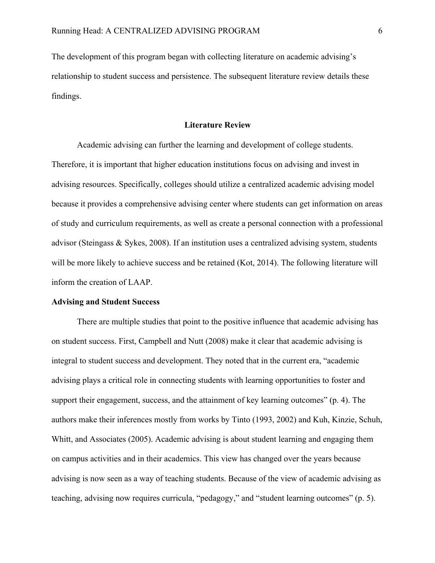The development of this program began with collecting literature on academic advising's relationship to student success and persistence. The subsequent literature review details these findings.

#### **Literature Review**

Academic advising can further the learning and development of college students. Therefore, it is important that higher education institutions focus on advising and invest in advising resources. Specifically, colleges should utilize a centralized academic advising model because it provides a comprehensive advising center where students can get information on areas of study and curriculum requirements, as well as create a personal connection with a professional advisor (Steingass & Sykes, 2008). If an institution uses a centralized advising system, students will be more likely to achieve success and be retained (Kot, 2014). The following literature will inform the creation of LAAP.

#### **Advising and Student Success**

There are multiple studies that point to the positive influence that academic advising has on student success. First, Campbell and Nutt (2008) make it clear that academic advising is integral to student success and development. They noted that in the current era, "academic advising plays a critical role in connecting students with learning opportunities to foster and support their engagement, success, and the attainment of key learning outcomes" (p. 4). The authors make their inferences mostly from works by Tinto (1993, 2002) and Kuh, Kinzie, Schuh, Whitt, and Associates (2005). Academic advising is about student learning and engaging them on campus activities and in their academics. This view has changed over the years because advising is now seen as a way of teaching students. Because of the view of academic advising as teaching, advising now requires curricula, "pedagogy," and "student learning outcomes" (p. 5).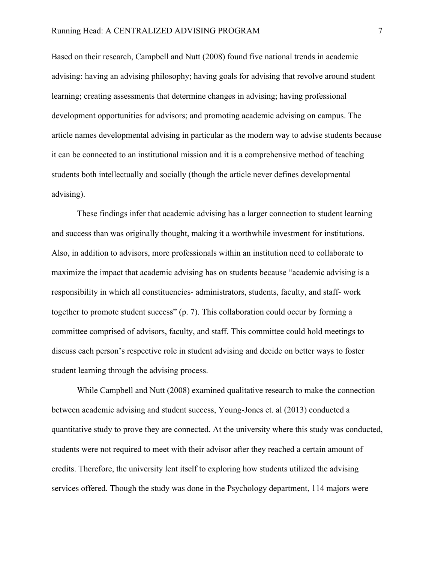Based on their research, Campbell and Nutt (2008) found five national trends in academic advising: having an advising philosophy; having goals for advising that revolve around student learning; creating assessments that determine changes in advising; having professional development opportunities for advisors; and promoting academic advising on campus. The article names developmental advising in particular as the modern way to advise students because it can be connected to an institutional mission and it is a comprehensive method of teaching students both intellectually and socially (though the article never defines developmental advising).

These findings infer that academic advising has a larger connection to student learning and success than was originally thought, making it a worthwhile investment for institutions. Also, in addition to advisors, more professionals within an institution need to collaborate to maximize the impact that academic advising has on students because "academic advising is a responsibility in which all constituencies- administrators, students, faculty, and staff- work together to promote student success" (p. 7). This collaboration could occur by forming a committee comprised of advisors, faculty, and staff. This committee could hold meetings to discuss each person's respective role in student advising and decide on better ways to foster student learning through the advising process.

While Campbell and Nutt (2008) examined qualitative research to make the connection between academic advising and student success, Young-Jones et. al (2013) conducted a quantitative study to prove they are connected. At the university where this study was conducted, students were not required to meet with their advisor after they reached a certain amount of credits. Therefore, the university lent itself to exploring how students utilized the advising services offered. Though the study was done in the Psychology department, 114 majors were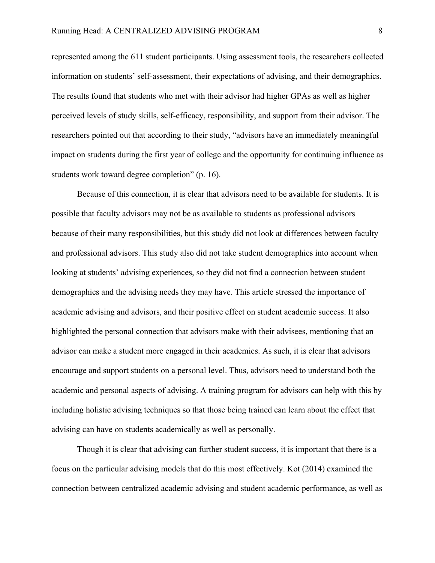represented among the 611 student participants. Using assessment tools, the researchers collected information on students' self-assessment, their expectations of advising, and their demographics. The results found that students who met with their advisor had higher GPAs as well as higher perceived levels of study skills, self-efficacy, responsibility, and support from their advisor. The researchers pointed out that according to their study, "advisors have an immediately meaningful impact on students during the first year of college and the opportunity for continuing influence as students work toward degree completion" (p. 16).

Because of this connection, it is clear that advisors need to be available for students. It is possible that faculty advisors may not be as available to students as professional advisors because of their many responsibilities, but this study did not look at differences between faculty and professional advisors. This study also did not take student demographics into account when looking at students' advising experiences, so they did not find a connection between student demographics and the advising needs they may have. This article stressed the importance of academic advising and advisors, and their positive effect on student academic success. It also highlighted the personal connection that advisors make with their advisees, mentioning that an advisor can make a student more engaged in their academics. As such, it is clear that advisors encourage and support students on a personal level. Thus, advisors need to understand both the academic and personal aspects of advising. A training program for advisors can help with this by including holistic advising techniques so that those being trained can learn about the effect that advising can have on students academically as well as personally.

Though it is clear that advising can further student success, it is important that there is a focus on the particular advising models that do this most effectively. Kot (2014) examined the connection between centralized academic advising and student academic performance, as well as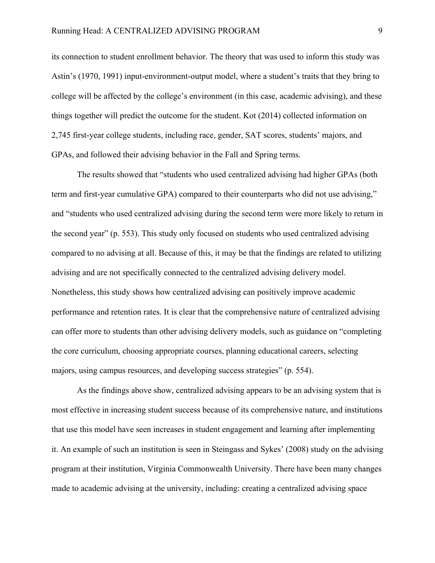its connection to student enrollment behavior. The theory that was used to inform this study was Astin's (1970, 1991) input-environment-output model, where a student's traits that they bring to college will be affected by the college's environment (in this case, academic advising), and these things together will predict the outcome for the student. Kot (2014) collected information on 2,745 first-year college students, including race, gender, SAT scores, students' majors, and GPAs, and followed their advising behavior in the Fall and Spring terms.

The results showed that "students who used centralized advising had higher GPAs (both term and first-year cumulative GPA) compared to their counterparts who did not use advising," and "students who used centralized advising during the second term were more likely to return in the second year" (p. 553). This study only focused on students who used centralized advising compared to no advising at all. Because of this, it may be that the findings are related to utilizing advising and are not specifically connected to the centralized advising delivery model. Nonetheless, this study shows how centralized advising can positively improve academic performance and retention rates. It is clear that the comprehensive nature of centralized advising can offer more to students than other advising delivery models, such as guidance on "completing the core curriculum, choosing appropriate courses, planning educational careers, selecting majors, using campus resources, and developing success strategies" (p. 554).

As the findings above show, centralized advising appears to be an advising system that is most effective in increasing student success because of its comprehensive nature, and institutions that use this model have seen increases in student engagement and learning after implementing it. An example of such an institution is seen in Steingass and Sykes' (2008) study on the advising program at their institution, Virginia Commonwealth University. There have been many changes made to academic advising at the university, including: creating a centralized advising space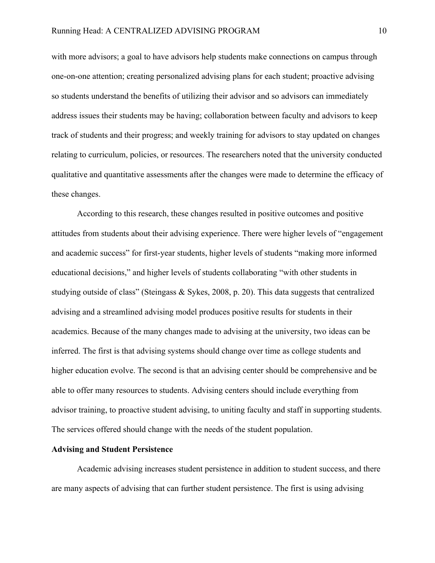with more advisors; a goal to have advisors help students make connections on campus through one-on-one attention; creating personalized advising plans for each student; proactive advising so students understand the benefits of utilizing their advisor and so advisors can immediately address issues their students may be having; collaboration between faculty and advisors to keep track of students and their progress; and weekly training for advisors to stay updated on changes relating to curriculum, policies, or resources. The researchers noted that the university conducted qualitative and quantitative assessments after the changes were made to determine the efficacy of these changes.

According to this research, these changes resulted in positive outcomes and positive attitudes from students about their advising experience. There were higher levels of "engagement and academic success" for first-year students, higher levels of students "making more informed educational decisions," and higher levels of students collaborating "with other students in studying outside of class" (Steingass & Sykes, 2008, p. 20). This data suggests that centralized advising and a streamlined advising model produces positive results for students in their academics. Because of the many changes made to advising at the university, two ideas can be inferred. The first is that advising systems should change over time as college students and higher education evolve. The second is that an advising center should be comprehensive and be able to offer many resources to students. Advising centers should include everything from advisor training, to proactive student advising, to uniting faculty and staff in supporting students. The services offered should change with the needs of the student population.

#### **Advising and Student Persistence**

Academic advising increases student persistence in addition to student success, and there are many aspects of advising that can further student persistence. The first is using advising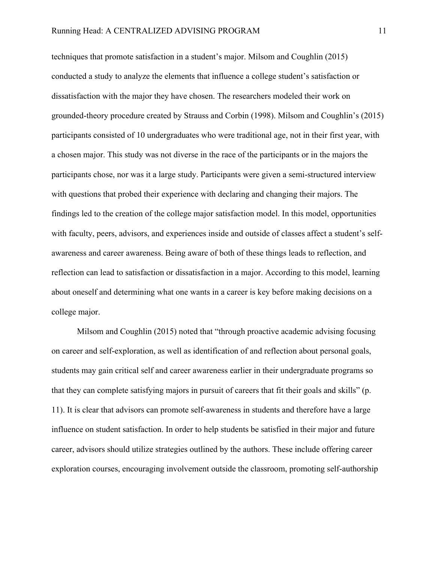techniques that promote satisfaction in a student's major. Milsom and Coughlin (2015) conducted a study to analyze the elements that influence a college student's satisfaction or dissatisfaction with the major they have chosen. The researchers modeled their work on grounded-theory procedure created by Strauss and Corbin (1998). Milsom and Coughlin's (2015) participants consisted of 10 undergraduates who were traditional age, not in their first year, with a chosen major. This study was not diverse in the race of the participants or in the majors the participants chose, nor was it a large study. Participants were given a semi-structured interview with questions that probed their experience with declaring and changing their majors. The findings led to the creation of the college major satisfaction model. In this model, opportunities with faculty, peers, advisors, and experiences inside and outside of classes affect a student's selfawareness and career awareness. Being aware of both of these things leads to reflection, and reflection can lead to satisfaction or dissatisfaction in a major. According to this model, learning about oneself and determining what one wants in a career is key before making decisions on a college major.

Milsom and Coughlin (2015) noted that "through proactive academic advising focusing on career and self-exploration, as well as identification of and reflection about personal goals, students may gain critical self and career awareness earlier in their undergraduate programs so that they can complete satisfying majors in pursuit of careers that fit their goals and skills" (p. 11). It is clear that advisors can promote self-awareness in students and therefore have a large influence on student satisfaction. In order to help students be satisfied in their major and future career, advisors should utilize strategies outlined by the authors. These include offering career exploration courses, encouraging involvement outside the classroom, promoting self-authorship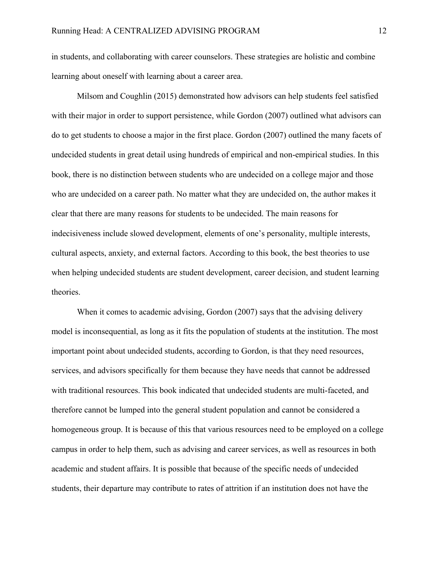in students, and collaborating with career counselors. These strategies are holistic and combine learning about oneself with learning about a career area.

Milsom and Coughlin (2015) demonstrated how advisors can help students feel satisfied with their major in order to support persistence, while Gordon (2007) outlined what advisors can do to get students to choose a major in the first place. Gordon (2007) outlined the many facets of undecided students in great detail using hundreds of empirical and non-empirical studies. In this book, there is no distinction between students who are undecided on a college major and those who are undecided on a career path. No matter what they are undecided on, the author makes it clear that there are many reasons for students to be undecided. The main reasons for indecisiveness include slowed development, elements of one's personality, multiple interests, cultural aspects, anxiety, and external factors. According to this book, the best theories to use when helping undecided students are student development, career decision, and student learning theories.

When it comes to academic advising, Gordon (2007) says that the advising delivery model is inconsequential, as long as it fits the population of students at the institution. The most important point about undecided students, according to Gordon, is that they need resources, services, and advisors specifically for them because they have needs that cannot be addressed with traditional resources. This book indicated that undecided students are multi-faceted, and therefore cannot be lumped into the general student population and cannot be considered a homogeneous group. It is because of this that various resources need to be employed on a college campus in order to help them, such as advising and career services, as well as resources in both academic and student affairs. It is possible that because of the specific needs of undecided students, their departure may contribute to rates of attrition if an institution does not have the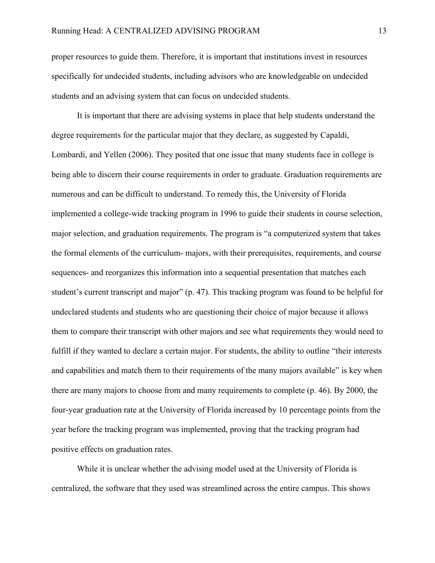proper resources to guide them. Therefore, it is important that institutions invest in resources specifically for undecided students, including advisors who are knowledgeable on undecided students and an advising system that can focus on undecided students.

It is important that there are advising systems in place that help students understand the degree requirements for the particular major that they declare, as suggested by Capaldi, Lombardi, and Yellen (2006). They posited that one issue that many students face in college is being able to discern their course requirements in order to graduate. Graduation requirements are numerous and can be difficult to understand. To remedy this, the University of Florida implemented a college-wide tracking program in 1996 to guide their students in course selection, major selection, and graduation requirements. The program is "a computerized system that takes the formal elements of the curriculum- majors, with their prerequisites, requirements, and course sequences- and reorganizes this information into a sequential presentation that matches each student's current transcript and major" (p. 47). This tracking program was found to be helpful for undeclared students and students who are questioning their choice of major because it allows them to compare their transcript with other majors and see what requirements they would need to fulfill if they wanted to declare a certain major. For students, the ability to outline "their interests and capabilities and match them to their requirements of the many majors available" is key when there are many majors to choose from and many requirements to complete (p. 46). By 2000, the four-year graduation rate at the University of Florida increased by 10 percentage points from the year before the tracking program was implemented, proving that the tracking program had positive effects on graduation rates.

While it is unclear whether the advising model used at the University of Florida is centralized, the software that they used was streamlined across the entire campus. This shows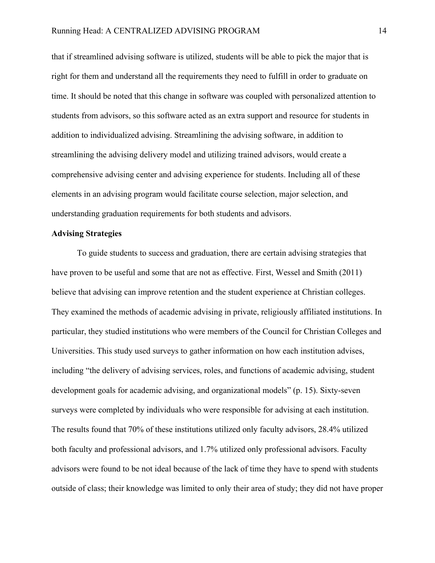that if streamlined advising software is utilized, students will be able to pick the major that is right for them and understand all the requirements they need to fulfill in order to graduate on time. It should be noted that this change in software was coupled with personalized attention to students from advisors, so this software acted as an extra support and resource for students in addition to individualized advising. Streamlining the advising software, in addition to streamlining the advising delivery model and utilizing trained advisors, would create a comprehensive advising center and advising experience for students. Including all of these elements in an advising program would facilitate course selection, major selection, and understanding graduation requirements for both students and advisors.

#### **Advising Strategies**

To guide students to success and graduation, there are certain advising strategies that have proven to be useful and some that are not as effective. First, Wessel and Smith (2011) believe that advising can improve retention and the student experience at Christian colleges. They examined the methods of academic advising in private, religiously affiliated institutions. In particular, they studied institutions who were members of the Council for Christian Colleges and Universities. This study used surveys to gather information on how each institution advises, including "the delivery of advising services, roles, and functions of academic advising, student development goals for academic advising, and organizational models" (p. 15). Sixty-seven surveys were completed by individuals who were responsible for advising at each institution. The results found that 70% of these institutions utilized only faculty advisors, 28.4% utilized both faculty and professional advisors, and 1.7% utilized only professional advisors. Faculty advisors were found to be not ideal because of the lack of time they have to spend with students outside of class; their knowledge was limited to only their area of study; they did not have proper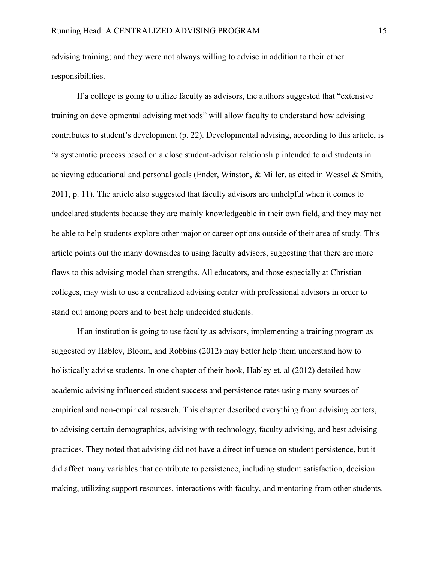advising training; and they were not always willing to advise in addition to their other responsibilities.

If a college is going to utilize faculty as advisors, the authors suggested that "extensive training on developmental advising methods" will allow faculty to understand how advising contributes to student's development (p. 22). Developmental advising, according to this article, is "a systematic process based on a close student-advisor relationship intended to aid students in achieving educational and personal goals (Ender, Winston, & Miller, as cited in Wessel & Smith, 2011, p. 11). The article also suggested that faculty advisors are unhelpful when it comes to undeclared students because they are mainly knowledgeable in their own field, and they may not be able to help students explore other major or career options outside of their area of study. This article points out the many downsides to using faculty advisors, suggesting that there are more flaws to this advising model than strengths. All educators, and those especially at Christian colleges, may wish to use a centralized advising center with professional advisors in order to stand out among peers and to best help undecided students.

If an institution is going to use faculty as advisors, implementing a training program as suggested by Habley, Bloom, and Robbins (2012) may better help them understand how to holistically advise students. In one chapter of their book, Habley et. al (2012) detailed how academic advising influenced student success and persistence rates using many sources of empirical and non-empirical research. This chapter described everything from advising centers, to advising certain demographics, advising with technology, faculty advising, and best advising practices. They noted that advising did not have a direct influence on student persistence, but it did affect many variables that contribute to persistence, including student satisfaction, decision making, utilizing support resources, interactions with faculty, and mentoring from other students.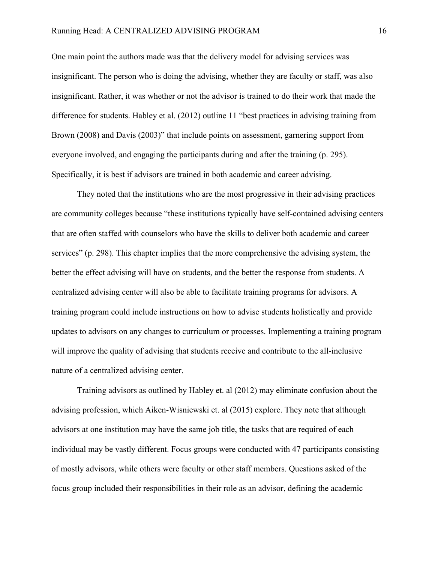One main point the authors made was that the delivery model for advising services was insignificant. The person who is doing the advising, whether they are faculty or staff, was also insignificant. Rather, it was whether or not the advisor is trained to do their work that made the difference for students. Habley et al. (2012) outline 11 "best practices in advising training from Brown (2008) and Davis (2003)" that include points on assessment, garnering support from everyone involved, and engaging the participants during and after the training (p. 295). Specifically, it is best if advisors are trained in both academic and career advising.

They noted that the institutions who are the most progressive in their advising practices are community colleges because "these institutions typically have self-contained advising centers that are often staffed with counselors who have the skills to deliver both academic and career services" (p. 298). This chapter implies that the more comprehensive the advising system, the better the effect advising will have on students, and the better the response from students. A centralized advising center will also be able to facilitate training programs for advisors. A training program could include instructions on how to advise students holistically and provide updates to advisors on any changes to curriculum or processes. Implementing a training program will improve the quality of advising that students receive and contribute to the all-inclusive nature of a centralized advising center.

Training advisors as outlined by Habley et. al (2012) may eliminate confusion about the advising profession, which Aiken-Wisniewski et. al (2015) explore. They note that although advisors at one institution may have the same job title, the tasks that are required of each individual may be vastly different. Focus groups were conducted with 47 participants consisting of mostly advisors, while others were faculty or other staff members. Questions asked of the focus group included their responsibilities in their role as an advisor, defining the academic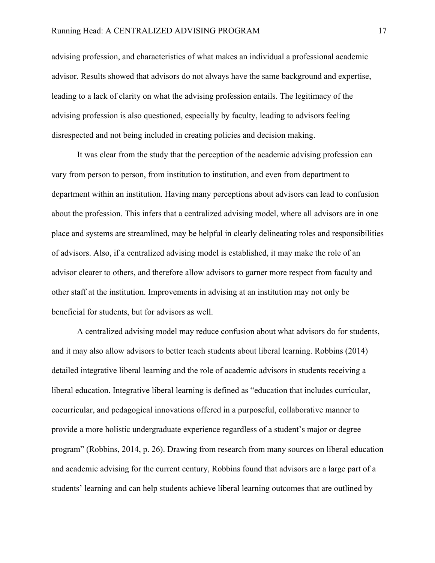advising profession, and characteristics of what makes an individual a professional academic advisor. Results showed that advisors do not always have the same background and expertise, leading to a lack of clarity on what the advising profession entails. The legitimacy of the advising profession is also questioned, especially by faculty, leading to advisors feeling disrespected and not being included in creating policies and decision making.

It was clear from the study that the perception of the academic advising profession can vary from person to person, from institution to institution, and even from department to department within an institution. Having many perceptions about advisors can lead to confusion about the profession. This infers that a centralized advising model, where all advisors are in one place and systems are streamlined, may be helpful in clearly delineating roles and responsibilities of advisors. Also, if a centralized advising model is established, it may make the role of an advisor clearer to others, and therefore allow advisors to garner more respect from faculty and other staff at the institution. Improvements in advising at an institution may not only be beneficial for students, but for advisors as well.

A centralized advising model may reduce confusion about what advisors do for students, and it may also allow advisors to better teach students about liberal learning. Robbins (2014) detailed integrative liberal learning and the role of academic advisors in students receiving a liberal education. Integrative liberal learning is defined as "education that includes curricular, cocurricular, and pedagogical innovations offered in a purposeful, collaborative manner to provide a more holistic undergraduate experience regardless of a student's major or degree program" (Robbins, 2014, p. 26). Drawing from research from many sources on liberal education and academic advising for the current century, Robbins found that advisors are a large part of a students' learning and can help students achieve liberal learning outcomes that are outlined by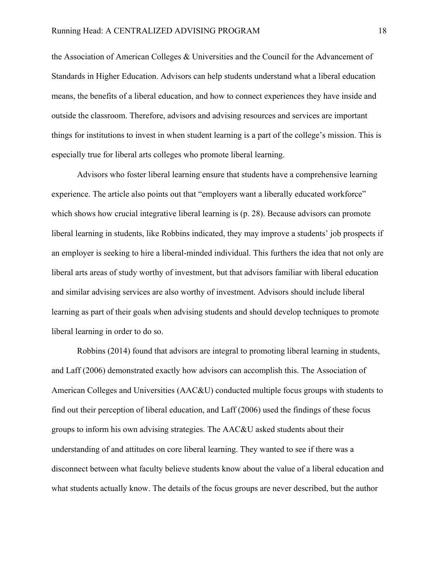the Association of American Colleges & Universities and the Council for the Advancement of Standards in Higher Education. Advisors can help students understand what a liberal education means, the benefits of a liberal education, and how to connect experiences they have inside and outside the classroom. Therefore, advisors and advising resources and services are important things for institutions to invest in when student learning is a part of the college's mission. This is especially true for liberal arts colleges who promote liberal learning.

Advisors who foster liberal learning ensure that students have a comprehensive learning experience. The article also points out that "employers want a liberally educated workforce" which shows how crucial integrative liberal learning is (p. 28). Because advisors can promote liberal learning in students, like Robbins indicated, they may improve a students' job prospects if an employer is seeking to hire a liberal-minded individual. This furthers the idea that not only are liberal arts areas of study worthy of investment, but that advisors familiar with liberal education and similar advising services are also worthy of investment. Advisors should include liberal learning as part of their goals when advising students and should develop techniques to promote liberal learning in order to do so.

Robbins (2014) found that advisors are integral to promoting liberal learning in students, and Laff (2006) demonstrated exactly how advisors can accomplish this. The Association of American Colleges and Universities (AAC&U) conducted multiple focus groups with students to find out their perception of liberal education, and Laff (2006) used the findings of these focus groups to inform his own advising strategies. The AAC&U asked students about their understanding of and attitudes on core liberal learning. They wanted to see if there was a disconnect between what faculty believe students know about the value of a liberal education and what students actually know. The details of the focus groups are never described, but the author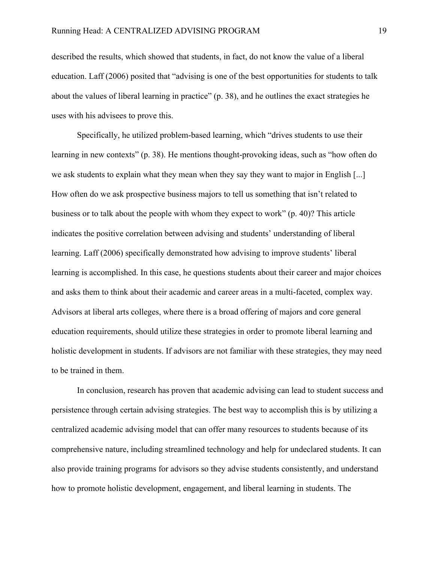described the results, which showed that students, in fact, do not know the value of a liberal education. Laff (2006) posited that "advising is one of the best opportunities for students to talk about the values of liberal learning in practice" (p. 38), and he outlines the exact strategies he uses with his advisees to prove this.

Specifically, he utilized problem-based learning, which "drives students to use their learning in new contexts" (p. 38). He mentions thought-provoking ideas, such as "how often do we ask students to explain what they mean when they say they want to major in English [...] How often do we ask prospective business majors to tell us something that isn't related to business or to talk about the people with whom they expect to work" (p. 40)? This article indicates the positive correlation between advising and students' understanding of liberal learning. Laff (2006) specifically demonstrated how advising to improve students' liberal learning is accomplished. In this case, he questions students about their career and major choices and asks them to think about their academic and career areas in a multi-faceted, complex way. Advisors at liberal arts colleges, where there is a broad offering of majors and core general education requirements, should utilize these strategies in order to promote liberal learning and holistic development in students. If advisors are not familiar with these strategies, they may need to be trained in them.

In conclusion, research has proven that academic advising can lead to student success and persistence through certain advising strategies. The best way to accomplish this is by utilizing a centralized academic advising model that can offer many resources to students because of its comprehensive nature, including streamlined technology and help for undeclared students. It can also provide training programs for advisors so they advise students consistently, and understand how to promote holistic development, engagement, and liberal learning in students. The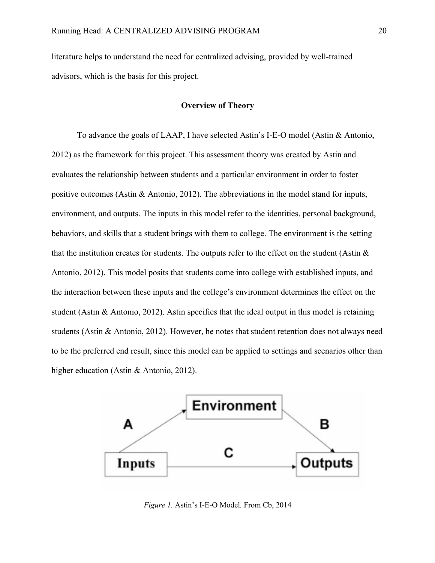literature helps to understand the need for centralized advising, provided by well-trained advisors, which is the basis for this project.

#### **Overview of Theory**

To advance the goals of LAAP, I have selected Astin's I-E-O model (Astin & Antonio, 2012) as the framework for this project. This assessment theory was created by Astin and evaluates the relationship between students and a particular environment in order to foster positive outcomes (Astin & Antonio, 2012). The abbreviations in the model stand for inputs, environment, and outputs. The inputs in this model refer to the identities, personal background, behaviors, and skills that a student brings with them to college. The environment is the setting that the institution creates for students. The outputs refer to the effect on the student (Astin  $\&$ Antonio, 2012). This model posits that students come into college with established inputs, and the interaction between these inputs and the college's environment determines the effect on the student (Astin & Antonio, 2012). Astin specifies that the ideal output in this model is retaining students (Astin & Antonio, 2012). However, he notes that student retention does not always need to be the preferred end result, since this model can be applied to settings and scenarios other than higher education (Astin & Antonio, 2012).



*Figure 1.* Astin's I-E-O Model*.* From Cb, 2014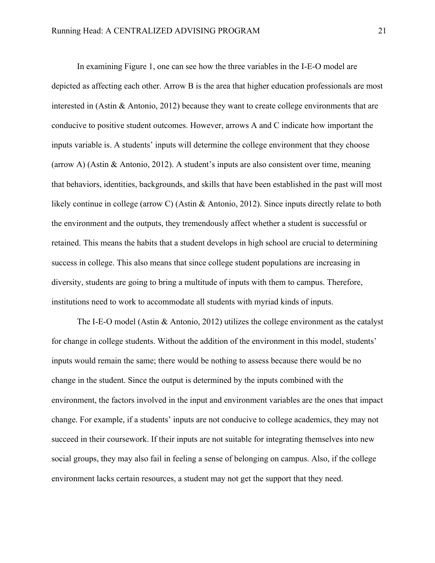In examining Figure 1, one can see how the three variables in the I-E-O model are depicted as affecting each other. Arrow B is the area that higher education professionals are most interested in (Astin & Antonio, 2012) because they want to create college environments that are conducive to positive student outcomes. However, arrows A and C indicate how important the inputs variable is. A students' inputs will determine the college environment that they choose (arrow A) (Astin & Antonio, 2012). A student's inputs are also consistent over time, meaning that behaviors, identities, backgrounds, and skills that have been established in the past will most likely continue in college (arrow C) (Astin & Antonio, 2012). Since inputs directly relate to both the environment and the outputs, they tremendously affect whether a student is successful or retained. This means the habits that a student develops in high school are crucial to determining success in college. This also means that since college student populations are increasing in diversity, students are going to bring a multitude of inputs with them to campus. Therefore, institutions need to work to accommodate all students with myriad kinds of inputs.

The I-E-O model (Astin & Antonio, 2012) utilizes the college environment as the catalyst for change in college students. Without the addition of the environment in this model, students' inputs would remain the same; there would be nothing to assess because there would be no change in the student. Since the output is determined by the inputs combined with the environment, the factors involved in the input and environment variables are the ones that impact change. For example, if a students' inputs are not conducive to college academics, they may not succeed in their coursework. If their inputs are not suitable for integrating themselves into new social groups, they may also fail in feeling a sense of belonging on campus. Also, if the college environment lacks certain resources, a student may not get the support that they need.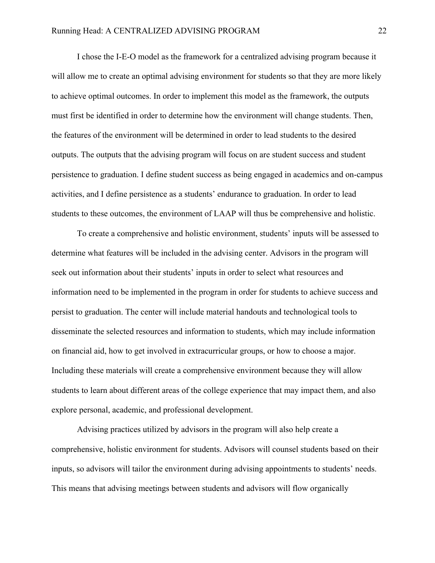I chose the I-E-O model as the framework for a centralized advising program because it will allow me to create an optimal advising environment for students so that they are more likely to achieve optimal outcomes. In order to implement this model as the framework, the outputs must first be identified in order to determine how the environment will change students. Then, the features of the environment will be determined in order to lead students to the desired outputs. The outputs that the advising program will focus on are student success and student persistence to graduation. I define student success as being engaged in academics and on-campus activities, and I define persistence as a students' endurance to graduation. In order to lead students to these outcomes, the environment of LAAP will thus be comprehensive and holistic.

To create a comprehensive and holistic environment, students' inputs will be assessed to determine what features will be included in the advising center. Advisors in the program will seek out information about their students' inputs in order to select what resources and information need to be implemented in the program in order for students to achieve success and persist to graduation. The center will include material handouts and technological tools to disseminate the selected resources and information to students, which may include information on financial aid, how to get involved in extracurricular groups, or how to choose a major. Including these materials will create a comprehensive environment because they will allow students to learn about different areas of the college experience that may impact them, and also explore personal, academic, and professional development.

Advising practices utilized by advisors in the program will also help create a comprehensive, holistic environment for students. Advisors will counsel students based on their inputs, so advisors will tailor the environment during advising appointments to students' needs. This means that advising meetings between students and advisors will flow organically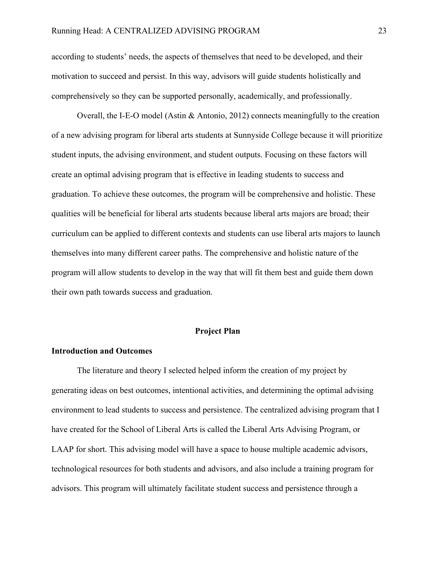according to students' needs, the aspects of themselves that need to be developed, and their motivation to succeed and persist. In this way, advisors will guide students holistically and comprehensively so they can be supported personally, academically, and professionally.

Overall, the I-E-O model (Astin & Antonio, 2012) connects meaningfully to the creation of a new advising program for liberal arts students at Sunnyside College because it will prioritize student inputs, the advising environment, and student outputs. Focusing on these factors will create an optimal advising program that is effective in leading students to success and graduation. To achieve these outcomes, the program will be comprehensive and holistic. These qualities will be beneficial for liberal arts students because liberal arts majors are broad; their curriculum can be applied to different contexts and students can use liberal arts majors to launch themselves into many different career paths. The comprehensive and holistic nature of the program will allow students to develop in the way that will fit them best and guide them down their own path towards success and graduation.

#### **Project Plan**

#### **Introduction and Outcomes**

The literature and theory I selected helped inform the creation of my project by generating ideas on best outcomes, intentional activities, and determining the optimal advising environment to lead students to success and persistence. The centralized advising program that I have created for the School of Liberal Arts is called the Liberal Arts Advising Program, or LAAP for short. This advising model will have a space to house multiple academic advisors, technological resources for both students and advisors, and also include a training program for advisors. This program will ultimately facilitate student success and persistence through a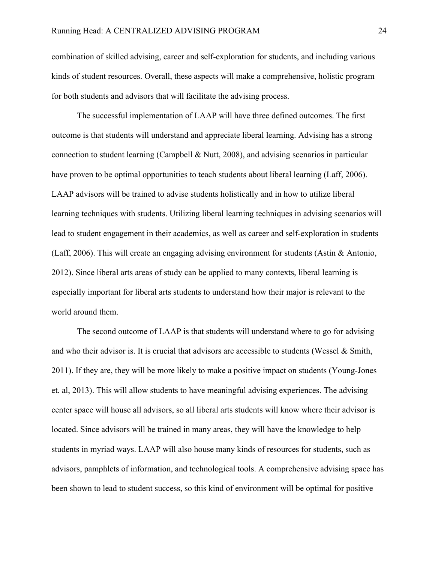combination of skilled advising, career and self-exploration for students, and including various kinds of student resources. Overall, these aspects will make a comprehensive, holistic program for both students and advisors that will facilitate the advising process.

The successful implementation of LAAP will have three defined outcomes. The first outcome is that students will understand and appreciate liberal learning. Advising has a strong connection to student learning (Campbell & Nutt, 2008), and advising scenarios in particular have proven to be optimal opportunities to teach students about liberal learning (Laff, 2006). LAAP advisors will be trained to advise students holistically and in how to utilize liberal learning techniques with students. Utilizing liberal learning techniques in advising scenarios will lead to student engagement in their academics, as well as career and self-exploration in students (Laff, 2006). This will create an engaging advising environment for students (Astin & Antonio, 2012). Since liberal arts areas of study can be applied to many contexts, liberal learning is especially important for liberal arts students to understand how their major is relevant to the world around them.

The second outcome of LAAP is that students will understand where to go for advising and who their advisor is. It is crucial that advisors are accessible to students (Wessel & Smith, 2011). If they are, they will be more likely to make a positive impact on students (Young-Jones et. al, 2013). This will allow students to have meaningful advising experiences. The advising center space will house all advisors, so all liberal arts students will know where their advisor is located. Since advisors will be trained in many areas, they will have the knowledge to help students in myriad ways. LAAP will also house many kinds of resources for students, such as advisors, pamphlets of information, and technological tools. A comprehensive advising space has been shown to lead to student success, so this kind of environment will be optimal for positive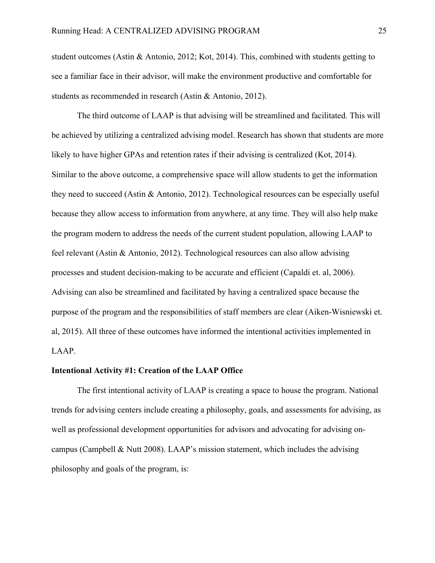student outcomes (Astin & Antonio, 2012; Kot, 2014). This, combined with students getting to see a familiar face in their advisor, will make the environment productive and comfortable for students as recommended in research (Astin & Antonio, 2012).

The third outcome of LAAP is that advising will be streamlined and facilitated. This will be achieved by utilizing a centralized advising model. Research has shown that students are more likely to have higher GPAs and retention rates if their advising is centralized (Kot, 2014). Similar to the above outcome, a comprehensive space will allow students to get the information they need to succeed (Astin & Antonio, 2012). Technological resources can be especially useful because they allow access to information from anywhere, at any time. They will also help make the program modern to address the needs of the current student population, allowing LAAP to feel relevant (Astin & Antonio, 2012). Technological resources can also allow advising processes and student decision-making to be accurate and efficient (Capaldi et. al, 2006). Advising can also be streamlined and facilitated by having a centralized space because the purpose of the program and the responsibilities of staff members are clear (Aiken-Wisniewski et. al, 2015). All three of these outcomes have informed the intentional activities implemented in LAAP.

#### **Intentional Activity #1: Creation of the LAAP Office**

The first intentional activity of LAAP is creating a space to house the program. National trends for advising centers include creating a philosophy, goals, and assessments for advising, as well as professional development opportunities for advisors and advocating for advising oncampus (Campbell & Nutt 2008). LAAP's mission statement, which includes the advising philosophy and goals of the program, is: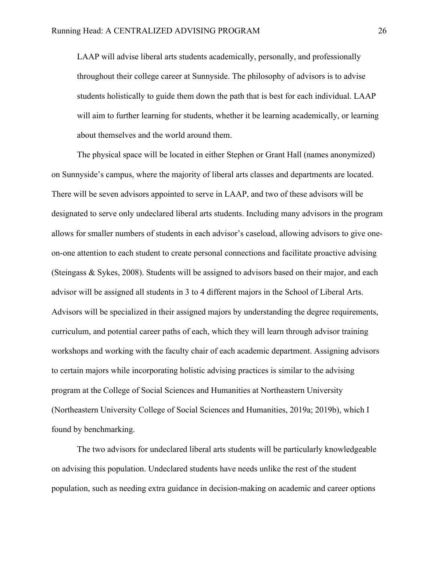LAAP will advise liberal arts students academically, personally, and professionally throughout their college career at Sunnyside. The philosophy of advisors is to advise students holistically to guide them down the path that is best for each individual. LAAP will aim to further learning for students, whether it be learning academically, or learning about themselves and the world around them.

The physical space will be located in either Stephen or Grant Hall (names anonymized) on Sunnyside's campus, where the majority of liberal arts classes and departments are located. There will be seven advisors appointed to serve in LAAP, and two of these advisors will be designated to serve only undeclared liberal arts students. Including many advisors in the program allows for smaller numbers of students in each advisor's caseload, allowing advisors to give oneon-one attention to each student to create personal connections and facilitate proactive advising (Steingass & Sykes, 2008). Students will be assigned to advisors based on their major, and each advisor will be assigned all students in 3 to 4 different majors in the School of Liberal Arts. Advisors will be specialized in their assigned majors by understanding the degree requirements, curriculum, and potential career paths of each, which they will learn through advisor training workshops and working with the faculty chair of each academic department. Assigning advisors to certain majors while incorporating holistic advising practices is similar to the advising program at the College of Social Sciences and Humanities at Northeastern University (Northeastern University College of Social Sciences and Humanities, 2019a; 2019b), which I found by benchmarking.

The two advisors for undeclared liberal arts students will be particularly knowledgeable on advising this population. Undeclared students have needs unlike the rest of the student population, such as needing extra guidance in decision-making on academic and career options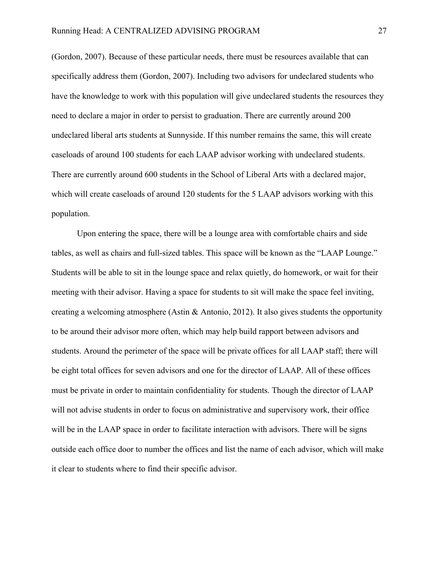(Gordon, 2007). Because of these particular needs, there must be resources available that can specifically address them (Gordon, 2007). Including two advisors for undeclared students who have the knowledge to work with this population will give undeclared students the resources they need to declare a major in order to persist to graduation. There are currently around 200 undeclared liberal arts students at Sunnyside. If this number remains the same, this will create caseloads of around 100 students for each LAAP advisor working with undeclared students. There are currently around 600 students in the School of Liberal Arts with a declared major, which will create caseloads of around 120 students for the 5 LAAP advisors working with this population.

Upon entering the space, there will be a lounge area with comfortable chairs and side tables, as well as chairs and full-sized tables. This space will be known as the "LAAP Lounge." Students will be able to sit in the lounge space and relax quietly, do homework, or wait for their meeting with their advisor. Having a space for students to sit will make the space feel inviting, creating a welcoming atmosphere (Astin & Antonio, 2012). It also gives students the opportunity to be around their advisor more often, which may help build rapport between advisors and students. Around the perimeter of the space will be private offices for all LAAP staff; there will be eight total offices for seven advisors and one for the director of LAAP. All of these offices must be private in order to maintain confidentiality for students. Though the director of LAAP will not advise students in order to focus on administrative and supervisory work, their office will be in the LAAP space in order to facilitate interaction with advisors. There will be signs outside each office door to number the offices and list the name of each advisor, which will make it clear to students where to find their specific advisor.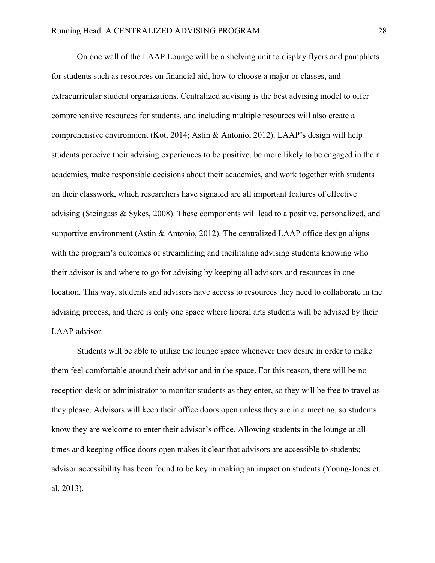On one wall of the LAAP Lounge will be a shelving unit to display flyers and pamphlets for students such as resources on financial aid, how to choose a major or classes, and extracurricular student organizations. Centralized advising is the best advising model to offer comprehensive resources for students, and including multiple resources will also create a comprehensive environment (Kot, 2014; Astin & Antonio, 2012). LAAP's design will help students perceive their advising experiences to be positive, be more likely to be engaged in their academics, make responsible decisions about their academics, and work together with students on their classwork, which researchers have signaled are all important features of effective advising (Steingass & Sykes, 2008). These components will lead to a positive, personalized, and supportive environment (Astin & Antonio, 2012). The centralized LAAP office design aligns with the program's outcomes of streamlining and facilitating advising students knowing who their advisor is and where to go for advising by keeping all advisors and resources in one location. This way, students and advisors have access to resources they need to collaborate in the advising process, and there is only one space where liberal arts students will be advised by their LAAP advisor.

Students will be able to utilize the lounge space whenever they desire in order to make them feel comfortable around their advisor and in the space. For this reason, there will be no reception desk or administrator to monitor students as they enter, so they will be free to travel as they please. Advisors will keep their office doors open unless they are in a meeting, so students know they are welcome to enter their advisor's office. Allowing students in the lounge at all times and keeping office doors open makes it clear that advisors are accessible to students; advisor accessibility has been found to be key in making an impact on students (Young-Jones et. al, 2013).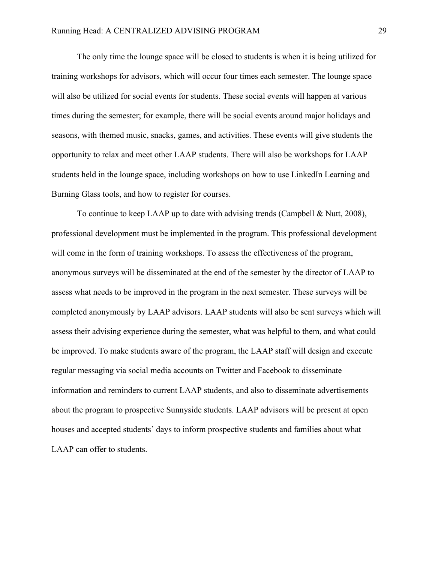The only time the lounge space will be closed to students is when it is being utilized for training workshops for advisors, which will occur four times each semester. The lounge space will also be utilized for social events for students. These social events will happen at various times during the semester; for example, there will be social events around major holidays and seasons, with themed music, snacks, games, and activities. These events will give students the opportunity to relax and meet other LAAP students. There will also be workshops for LAAP students held in the lounge space, including workshops on how to use LinkedIn Learning and Burning Glass tools, and how to register for courses.

To continue to keep LAAP up to date with advising trends (Campbell & Nutt, 2008), professional development must be implemented in the program. This professional development will come in the form of training workshops. To assess the effectiveness of the program, anonymous surveys will be disseminated at the end of the semester by the director of LAAP to assess what needs to be improved in the program in the next semester. These surveys will be completed anonymously by LAAP advisors. LAAP students will also be sent surveys which will assess their advising experience during the semester, what was helpful to them, and what could be improved. To make students aware of the program, the LAAP staff will design and execute regular messaging via social media accounts on Twitter and Facebook to disseminate information and reminders to current LAAP students, and also to disseminate advertisements about the program to prospective Sunnyside students. LAAP advisors will be present at open houses and accepted students' days to inform prospective students and families about what LAAP can offer to students.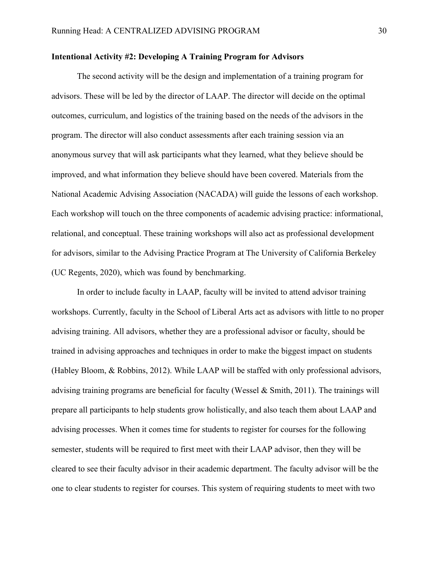#### **Intentional Activity #2: Developing A Training Program for Advisors**

The second activity will be the design and implementation of a training program for advisors. These will be led by the director of LAAP. The director will decide on the optimal outcomes, curriculum, and logistics of the training based on the needs of the advisors in the program. The director will also conduct assessments after each training session via an anonymous survey that will ask participants what they learned, what they believe should be improved, and what information they believe should have been covered. Materials from the National Academic Advising Association (NACADA) will guide the lessons of each workshop. Each workshop will touch on the three components of academic advising practice: informational, relational, and conceptual. These training workshops will also act as professional development for advisors, similar to the Advising Practice Program at The University of California Berkeley (UC Regents, 2020), which was found by benchmarking.

In order to include faculty in LAAP, faculty will be invited to attend advisor training workshops. Currently, faculty in the School of Liberal Arts act as advisors with little to no proper advising training. All advisors, whether they are a professional advisor or faculty, should be trained in advising approaches and techniques in order to make the biggest impact on students (Habley Bloom, & Robbins, 2012). While LAAP will be staffed with only professional advisors, advising training programs are beneficial for faculty (Wessel & Smith, 2011). The trainings will prepare all participants to help students grow holistically, and also teach them about LAAP and advising processes. When it comes time for students to register for courses for the following semester, students will be required to first meet with their LAAP advisor, then they will be cleared to see their faculty advisor in their academic department. The faculty advisor will be the one to clear students to register for courses. This system of requiring students to meet with two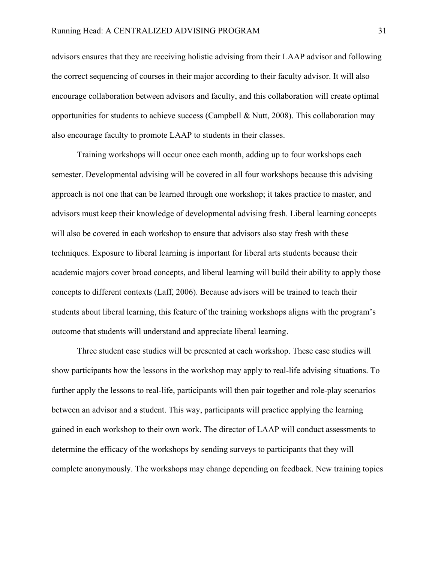advisors ensures that they are receiving holistic advising from their LAAP advisor and following the correct sequencing of courses in their major according to their faculty advisor. It will also encourage collaboration between advisors and faculty, and this collaboration will create optimal opportunities for students to achieve success (Campbell & Nutt, 2008). This collaboration may also encourage faculty to promote LAAP to students in their classes.

Training workshops will occur once each month, adding up to four workshops each semester. Developmental advising will be covered in all four workshops because this advising approach is not one that can be learned through one workshop; it takes practice to master, and advisors must keep their knowledge of developmental advising fresh. Liberal learning concepts will also be covered in each workshop to ensure that advisors also stay fresh with these techniques. Exposure to liberal learning is important for liberal arts students because their academic majors cover broad concepts, and liberal learning will build their ability to apply those concepts to different contexts (Laff, 2006). Because advisors will be trained to teach their students about liberal learning, this feature of the training workshops aligns with the program's outcome that students will understand and appreciate liberal learning.

Three student case studies will be presented at each workshop. These case studies will show participants how the lessons in the workshop may apply to real-life advising situations. To further apply the lessons to real-life, participants will then pair together and role-play scenarios between an advisor and a student. This way, participants will practice applying the learning gained in each workshop to their own work. The director of LAAP will conduct assessments to determine the efficacy of the workshops by sending surveys to participants that they will complete anonymously. The workshops may change depending on feedback. New training topics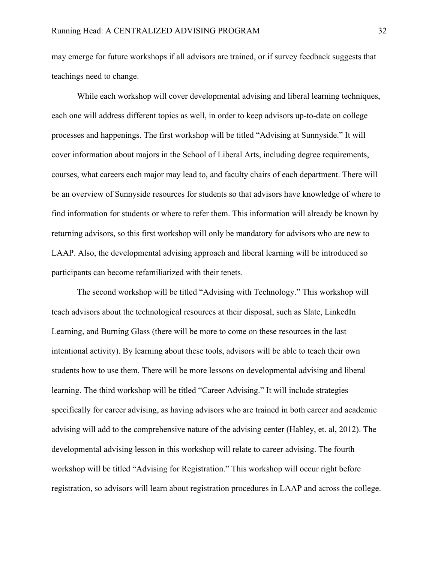may emerge for future workshops if all advisors are trained, or if survey feedback suggests that teachings need to change.

While each workshop will cover developmental advising and liberal learning techniques, each one will address different topics as well, in order to keep advisors up-to-date on college processes and happenings. The first workshop will be titled "Advising at Sunnyside." It will cover information about majors in the School of Liberal Arts, including degree requirements, courses, what careers each major may lead to, and faculty chairs of each department. There will be an overview of Sunnyside resources for students so that advisors have knowledge of where to find information for students or where to refer them. This information will already be known by returning advisors, so this first workshop will only be mandatory for advisors who are new to LAAP. Also, the developmental advising approach and liberal learning will be introduced so participants can become refamiliarized with their tenets.

The second workshop will be titled "Advising with Technology." This workshop will teach advisors about the technological resources at their disposal, such as Slate, LinkedIn Learning, and Burning Glass (there will be more to come on these resources in the last intentional activity). By learning about these tools, advisors will be able to teach their own students how to use them. There will be more lessons on developmental advising and liberal learning. The third workshop will be titled "Career Advising." It will include strategies specifically for career advising, as having advisors who are trained in both career and academic advising will add to the comprehensive nature of the advising center (Habley, et. al, 2012). The developmental advising lesson in this workshop will relate to career advising. The fourth workshop will be titled "Advising for Registration." This workshop will occur right before registration, so advisors will learn about registration procedures in LAAP and across the college.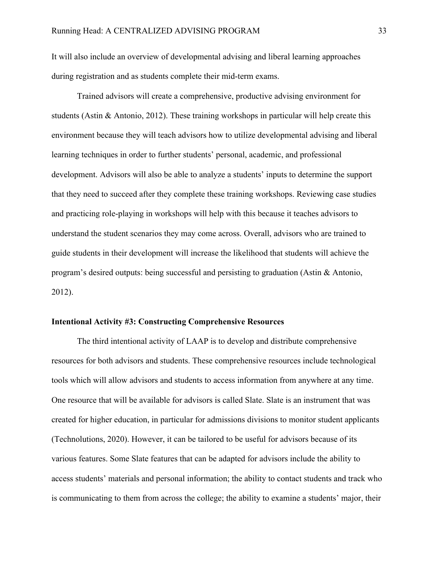It will also include an overview of developmental advising and liberal learning approaches during registration and as students complete their mid-term exams.

Trained advisors will create a comprehensive, productive advising environment for students (Astin & Antonio, 2012). These training workshops in particular will help create this environment because they will teach advisors how to utilize developmental advising and liberal learning techniques in order to further students' personal, academic, and professional development. Advisors will also be able to analyze a students' inputs to determine the support that they need to succeed after they complete these training workshops. Reviewing case studies and practicing role-playing in workshops will help with this because it teaches advisors to understand the student scenarios they may come across. Overall, advisors who are trained to guide students in their development will increase the likelihood that students will achieve the program's desired outputs: being successful and persisting to graduation (Astin & Antonio, 2012).

#### **Intentional Activity #3: Constructing Comprehensive Resources**

The third intentional activity of LAAP is to develop and distribute comprehensive resources for both advisors and students. These comprehensive resources include technological tools which will allow advisors and students to access information from anywhere at any time. One resource that will be available for advisors is called Slate. Slate is an instrument that was created for higher education, in particular for admissions divisions to monitor student applicants (Technolutions, 2020). However, it can be tailored to be useful for advisors because of its various features. Some Slate features that can be adapted for advisors include the ability to access students' materials and personal information; the ability to contact students and track who is communicating to them from across the college; the ability to examine a students' major, their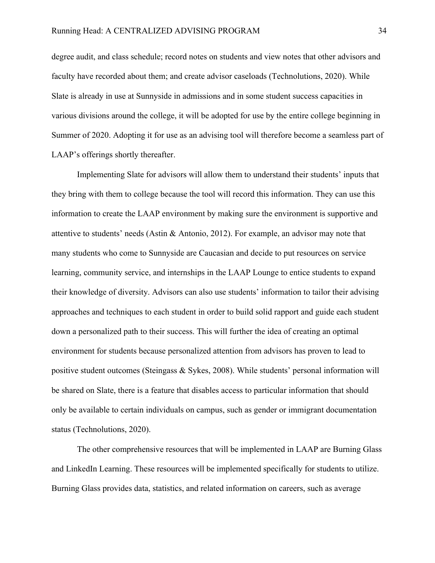degree audit, and class schedule; record notes on students and view notes that other advisors and faculty have recorded about them; and create advisor caseloads (Technolutions, 2020). While Slate is already in use at Sunnyside in admissions and in some student success capacities in various divisions around the college, it will be adopted for use by the entire college beginning in Summer of 2020. Adopting it for use as an advising tool will therefore become a seamless part of LAAP's offerings shortly thereafter.

Implementing Slate for advisors will allow them to understand their students' inputs that they bring with them to college because the tool will record this information. They can use this information to create the LAAP environment by making sure the environment is supportive and attentive to students' needs (Astin & Antonio, 2012). For example, an advisor may note that many students who come to Sunnyside are Caucasian and decide to put resources on service learning, community service, and internships in the LAAP Lounge to entice students to expand their knowledge of diversity. Advisors can also use students' information to tailor their advising approaches and techniques to each student in order to build solid rapport and guide each student down a personalized path to their success. This will further the idea of creating an optimal environment for students because personalized attention from advisors has proven to lead to positive student outcomes (Steingass & Sykes, 2008). While students' personal information will be shared on Slate, there is a feature that disables access to particular information that should only be available to certain individuals on campus, such as gender or immigrant documentation status (Technolutions, 2020).

The other comprehensive resources that will be implemented in LAAP are Burning Glass and LinkedIn Learning. These resources will be implemented specifically for students to utilize. Burning Glass provides data, statistics, and related information on careers, such as average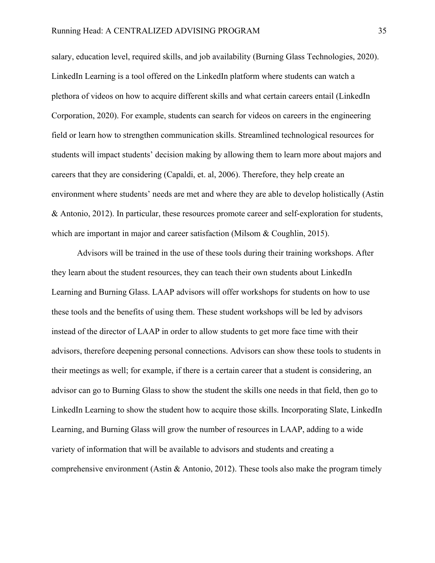salary, education level, required skills, and job availability (Burning Glass Technologies, 2020). LinkedIn Learning is a tool offered on the LinkedIn platform where students can watch a plethora of videos on how to acquire different skills and what certain careers entail (LinkedIn Corporation, 2020). For example, students can search for videos on careers in the engineering field or learn how to strengthen communication skills. Streamlined technological resources for students will impact students' decision making by allowing them to learn more about majors and careers that they are considering (Capaldi, et. al, 2006). Therefore, they help create an environment where students' needs are met and where they are able to develop holistically (Astin & Antonio, 2012). In particular, these resources promote career and self-exploration for students, which are important in major and career satisfaction (Milsom & Coughlin, 2015).

Advisors will be trained in the use of these tools during their training workshops. After they learn about the student resources, they can teach their own students about LinkedIn Learning and Burning Glass. LAAP advisors will offer workshops for students on how to use these tools and the benefits of using them. These student workshops will be led by advisors instead of the director of LAAP in order to allow students to get more face time with their advisors, therefore deepening personal connections. Advisors can show these tools to students in their meetings as well; for example, if there is a certain career that a student is considering, an advisor can go to Burning Glass to show the student the skills one needs in that field, then go to LinkedIn Learning to show the student how to acquire those skills. Incorporating Slate, LinkedIn Learning, and Burning Glass will grow the number of resources in LAAP, adding to a wide variety of information that will be available to advisors and students and creating a comprehensive environment (Astin & Antonio, 2012). These tools also make the program timely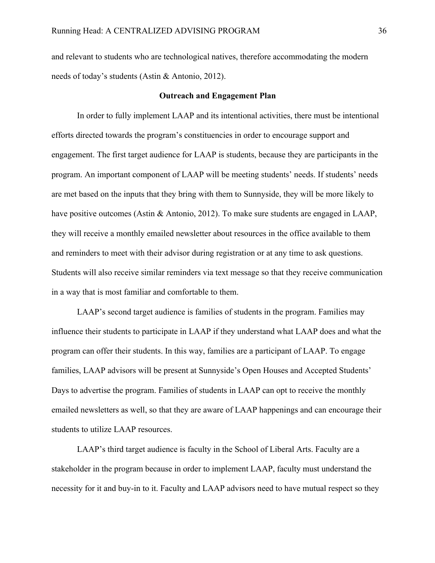and relevant to students who are technological natives, therefore accommodating the modern needs of today's students (Astin & Antonio, 2012).

#### **Outreach and Engagement Plan**

In order to fully implement LAAP and its intentional activities, there must be intentional efforts directed towards the program's constituencies in order to encourage support and engagement. The first target audience for LAAP is students, because they are participants in the program. An important component of LAAP will be meeting students' needs. If students' needs are met based on the inputs that they bring with them to Sunnyside, they will be more likely to have positive outcomes (Astin & Antonio, 2012). To make sure students are engaged in LAAP, they will receive a monthly emailed newsletter about resources in the office available to them and reminders to meet with their advisor during registration or at any time to ask questions. Students will also receive similar reminders via text message so that they receive communication in a way that is most familiar and comfortable to them.

LAAP's second target audience is families of students in the program. Families may influence their students to participate in LAAP if they understand what LAAP does and what the program can offer their students. In this way, families are a participant of LAAP. To engage families, LAAP advisors will be present at Sunnyside's Open Houses and Accepted Students' Days to advertise the program. Families of students in LAAP can opt to receive the monthly emailed newsletters as well, so that they are aware of LAAP happenings and can encourage their students to utilize LAAP resources.

LAAP's third target audience is faculty in the School of Liberal Arts. Faculty are a stakeholder in the program because in order to implement LAAP, faculty must understand the necessity for it and buy-in to it. Faculty and LAAP advisors need to have mutual respect so they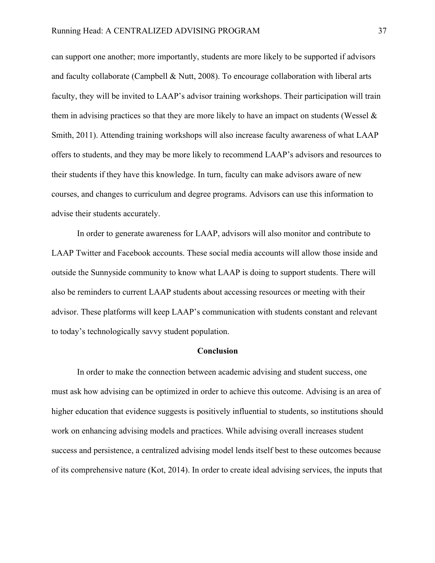can support one another; more importantly, students are more likely to be supported if advisors and faculty collaborate (Campbell & Nutt, 2008). To encourage collaboration with liberal arts faculty, they will be invited to LAAP's advisor training workshops. Their participation will train them in advising practices so that they are more likely to have an impact on students (Wessel  $\&$ Smith, 2011). Attending training workshops will also increase faculty awareness of what LAAP offers to students, and they may be more likely to recommend LAAP's advisors and resources to their students if they have this knowledge. In turn, faculty can make advisors aware of new courses, and changes to curriculum and degree programs. Advisors can use this information to advise their students accurately.

In order to generate awareness for LAAP, advisors will also monitor and contribute to LAAP Twitter and Facebook accounts. These social media accounts will allow those inside and outside the Sunnyside community to know what LAAP is doing to support students. There will also be reminders to current LAAP students about accessing resources or meeting with their advisor. These platforms will keep LAAP's communication with students constant and relevant to today's technologically savvy student population.

#### **Conclusion**

In order to make the connection between academic advising and student success, one must ask how advising can be optimized in order to achieve this outcome. Advising is an area of higher education that evidence suggests is positively influential to students, so institutions should work on enhancing advising models and practices. While advising overall increases student success and persistence, a centralized advising model lends itself best to these outcomes because of its comprehensive nature (Kot, 2014). In order to create ideal advising services, the inputs that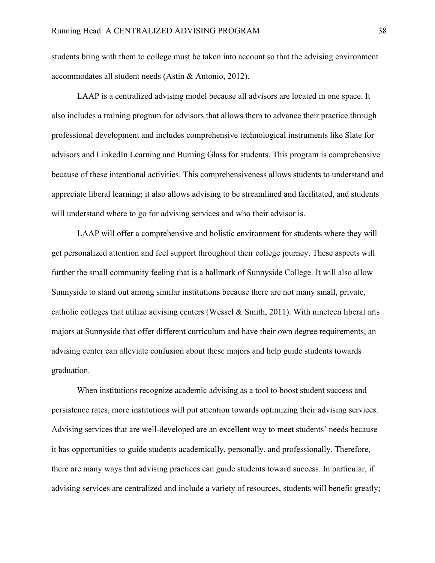students bring with them to college must be taken into account so that the advising environment accommodates all student needs (Astin & Antonio, 2012).

LAAP is a centralized advising model because all advisors are located in one space. It also includes a training program for advisors that allows them to advance their practice through professional development and includes comprehensive technological instruments like Slate for advisors and LinkedIn Learning and Burning Glass for students. This program is comprehensive because of these intentional activities. This comprehensiveness allows students to understand and appreciate liberal learning; it also allows advising to be streamlined and facilitated, and students will understand where to go for advising services and who their advisor is.

LAAP will offer a comprehensive and holistic environment for students where they will get personalized attention and feel support throughout their college journey. These aspects will further the small community feeling that is a hallmark of Sunnyside College. It will also allow Sunnyside to stand out among similar institutions because there are not many small, private, catholic colleges that utilize advising centers (Wessel & Smith, 2011). With nineteen liberal arts majors at Sunnyside that offer different curriculum and have their own degree requirements, an advising center can alleviate confusion about these majors and help guide students towards graduation.

When institutions recognize academic advising as a tool to boost student success and persistence rates, more institutions will put attention towards optimizing their advising services. Advising services that are well-developed are an excellent way to meet students' needs because it has opportunities to guide students academically, personally, and professionally. Therefore, there are many ways that advising practices can guide students toward success. In particular, if advising services are centralized and include a variety of resources, students will benefit greatly;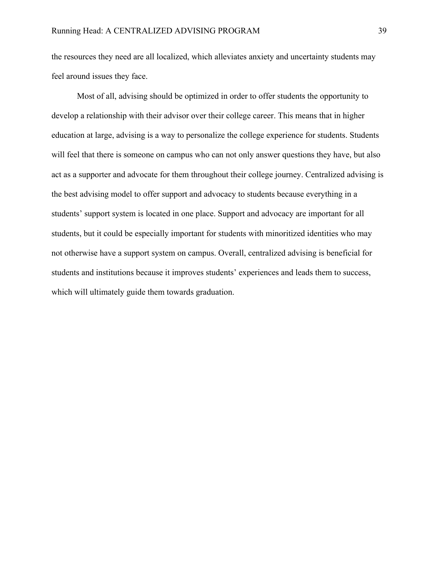the resources they need are all localized, which alleviates anxiety and uncertainty students may feel around issues they face.

Most of all, advising should be optimized in order to offer students the opportunity to develop a relationship with their advisor over their college career. This means that in higher education at large, advising is a way to personalize the college experience for students. Students will feel that there is someone on campus who can not only answer questions they have, but also act as a supporter and advocate for them throughout their college journey. Centralized advising is the best advising model to offer support and advocacy to students because everything in a students' support system is located in one place. Support and advocacy are important for all students, but it could be especially important for students with minoritized identities who may not otherwise have a support system on campus. Overall, centralized advising is beneficial for students and institutions because it improves students' experiences and leads them to success, which will ultimately guide them towards graduation.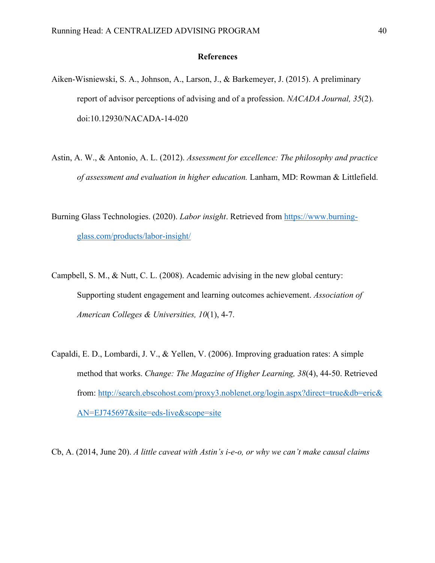#### **References**

- Aiken-Wisniewski, S. A., Johnson, A., Larson, J., & Barkemeyer, J. (2015). A preliminary report of advisor perceptions of advising and of a profession. *NACADA Journal, 35*(2). doi:10.12930/NACADA-14-020
- Astin, A. W., & Antonio, A. L. (2012). *Assessment for excellence: The philosophy and practice of assessment and evaluation in higher education.* Lanham, MD: Rowman & Littlefield.
- Burning Glass Technologies. (2020). *Labor insight*. Retrieved from https://www.burningglass.com/products/labor-insight/
- Campbell, S. M., & Nutt, C. L. (2008). Academic advising in the new global century: Supporting student engagement and learning outcomes achievement. *Association of American Colleges & Universities, 10*(1), 4-7.
- Capaldi, E. D., Lombardi, J. V., & Yellen, V. (2006). Improving graduation rates: A simple method that works. *Change: The Magazine of Higher Learning, 38*(4), 44-50. Retrieved from: http://search.ebscohost.com/proxy3.noblenet.org/login.aspx?direct=true&db=eric& AN=EJ745697&site=eds-live&scope=site
- Cb, A. (2014, June 20). *A little caveat with Astin's i-e-o, or why we can't make causal claims*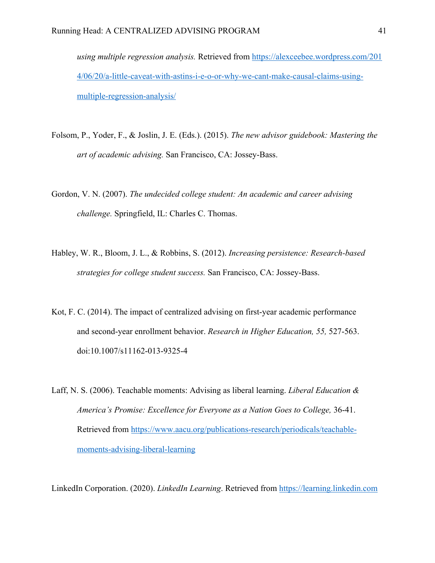*using multiple regression analysis.* Retrieved from https://alexceebee.wordpress.com/201 4/06/20/a-little-caveat-with-astins-i-e-o-or-why-we-cant-make-causal-claims-usingmultiple-regression-analysis/

- Folsom, P., Yoder, F., & Joslin, J. E. (Eds.). (2015). *The new advisor guidebook: Mastering the art of academic advising.* San Francisco, CA: Jossey-Bass.
- Gordon, V. N. (2007). *The undecided college student: An academic and career advising challenge.* Springfield, IL: Charles C. Thomas.
- Habley, W. R., Bloom, J. L., & Robbins, S. (2012). *Increasing persistence: Research-based strategies for college student success.* San Francisco, CA: Jossey-Bass.
- Kot, F. C. (2014). The impact of centralized advising on first-year academic performance and second-year enrollment behavior. *Research in Higher Education, 55,* 527-563. doi:10.1007/s11162-013-9325-4
- Laff, N. S. (2006). Teachable moments: Advising as liberal learning. *Liberal Education & America's Promise: Excellence for Everyone as a Nation Goes to College,* 36-41. Retrieved from https://www.aacu.org/publications-research/periodicals/teachablemoments-advising-liberal-learning

LinkedIn Corporation. (2020). *LinkedIn Learning*. Retrieved from https://learning.linkedin.com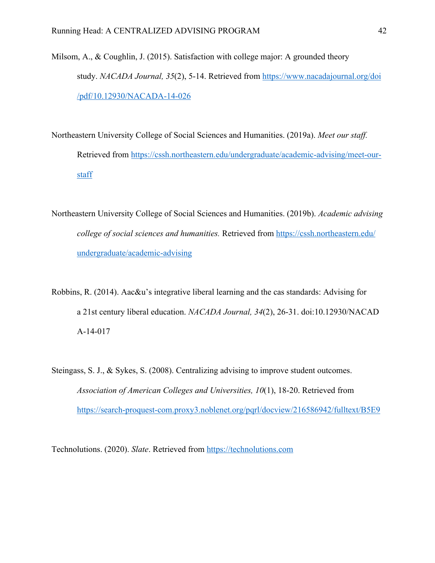- Milsom, A., & Coughlin, J. (2015). Satisfaction with college major: A grounded theory study. *NACADA Journal, 35*(2), 5-14. Retrieved from https://www.nacadajournal.org/doi /pdf/10.12930/NACADA-14-026
- Northeastern University College of Social Sciences and Humanities. (2019a). *Meet our staff.*  Retrieved from https://cssh.northeastern.edu/undergraduate/academic-advising/meet-ourstaff
- Northeastern University College of Social Sciences and Humanities. (2019b). *Academic advising college of social sciences and humanities.* Retrieved from https://cssh.northeastern.edu/ undergraduate/academic-advising
- Robbins, R. (2014). Aac&u's integrative liberal learning and the cas standards: Advising for a 21st century liberal education. *NACADA Journal, 34*(2), 26-31. doi:10.12930/NACAD A-14-017
- Steingass, S. J., & Sykes, S. (2008). Centralizing advising to improve student outcomes. *Association of American Colleges and Universities, 10*(1), 18-20. Retrieved from https://search-proquest-com.proxy3.noblenet.org/pqrl/docview/216586942/fulltext/B5E9

Technolutions. (2020). *Slate*. Retrieved from https://technolutions.com